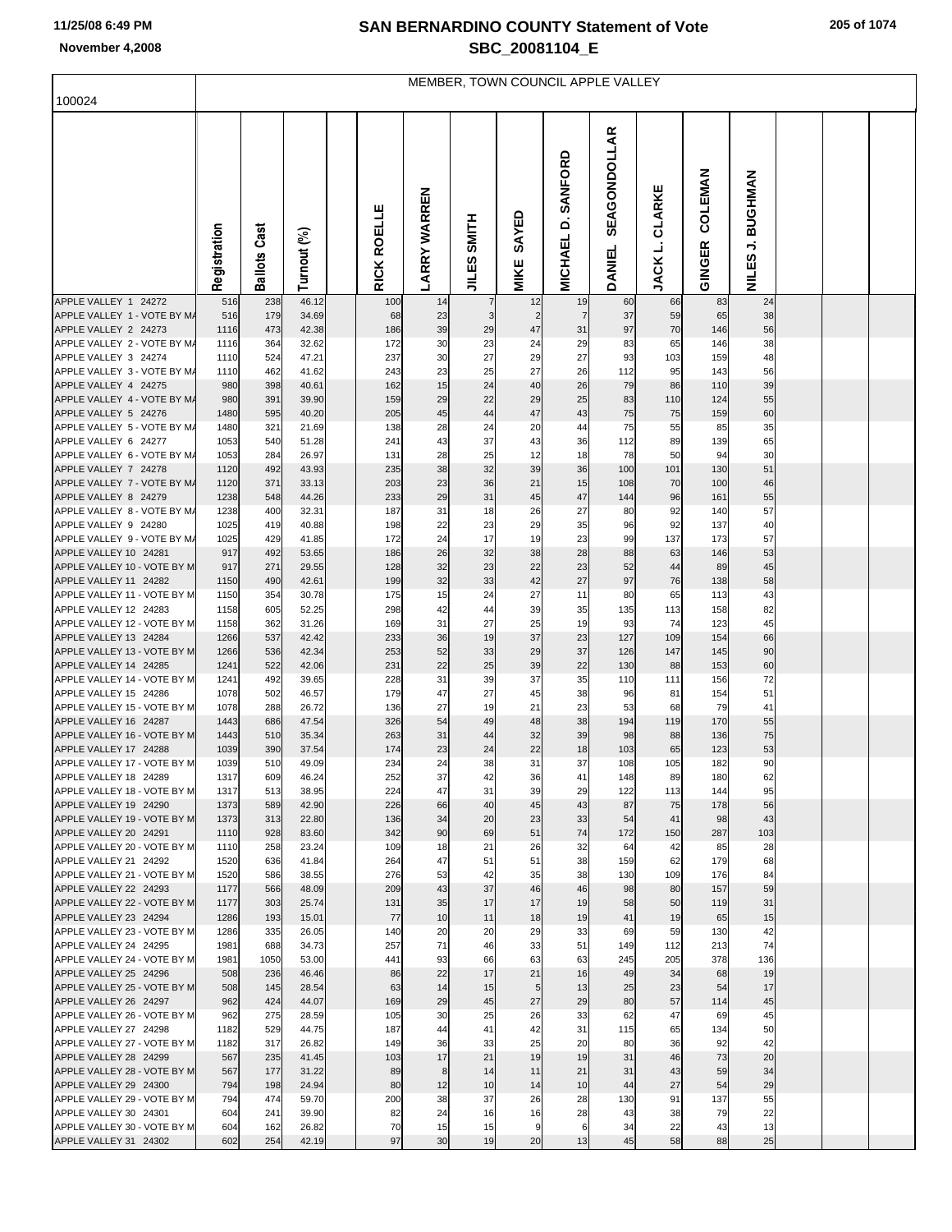## **SAN BERNARDINO COUNTY Statement of Vote November 4,2008 SBC\_20081104\_E**

|  | 205 of 1074 |
|--|-------------|
|  |             |

| 100024                                               | MEMBER, TOWN COUNCIL APPLE VALLEY |                        |                |  |             |                     |                              |                      |                                |                               |                   |                   |                      |  |  |
|------------------------------------------------------|-----------------------------------|------------------------|----------------|--|-------------|---------------------|------------------------------|----------------------|--------------------------------|-------------------------------|-------------------|-------------------|----------------------|--|--|
|                                                      |                                   |                        |                |  |             |                     |                              |                      |                                |                               |                   |                   |                      |  |  |
|                                                      | Registration                      | Cast<br><b>Ballots</b> | Turnout (%)    |  | RICK ROELLE | <b>LARRY WARREN</b> | <b>HILMS</b><br><b>JILES</b> | SAYED<br>MIKE        | SANFORD<br>ö<br><b>MICHAEL</b> | <b>SEAGONDOLLAR</b><br>DANIEL | CLARKE<br>JACK L. | COLEMAN<br>GINGER | J. BUGHMAN<br>NILES. |  |  |
| APPLE VALLEY 1 24272<br>APPLE VALLEY 1 - VOTE BY M/  | 516<br>516                        | 238<br>179             | 46.12<br>34.69 |  | 100<br>68   | 14<br>23            | 7<br>3                       | 12<br>$\overline{2}$ | 19<br>$\overline{7}$           | 60<br>37                      | 66<br>59          | 83<br>65          | 24<br>38             |  |  |
| APPLE VALLEY 2 24273                                 | 1116                              | 473                    | 42.38          |  | 186         | 39                  | 29                           | 47                   | 31                             | 97                            | 70                | 146               | 56                   |  |  |
| APPLE VALLEY 2 - VOTE BY M/<br>APPLE VALLEY 3 24274  | 1116<br>1110                      | 364<br>524             | 32.62<br>47.21 |  | 172<br>237  | 30<br>30            | 23<br>27                     | 24<br>29             | 29<br>27                       | 83<br>93                      | 65<br>103         | 146<br>159        | 38<br>48             |  |  |
| APPLE VALLEY 3 - VOTE BY M/                          | 1110                              | 462                    | 41.62          |  | 243         | 23                  | 25                           | 27                   | 26                             | 112                           | 95                | 143               | 56                   |  |  |
| APPLE VALLEY 4 24275                                 | 980                               | 398                    | 40.61          |  | 162         | 15                  | 24                           | 40                   | 26                             | 79                            | 86                | 110               | 39                   |  |  |
| APPLE VALLEY 4 - VOTE BY M/<br>APPLE VALLEY 5 24276  | 980<br>1480                       | 391<br>595             | 39.90<br>40.20 |  | 159<br>205  | 29<br>45            | 22<br>44                     | 29<br>47             | 25<br>43                       | 83<br>75                      | 110<br>75         | 124<br>159        | 55<br>60             |  |  |
| APPLE VALLEY 5 - VOTE BY M/                          | 1480                              | 321                    | 21.69          |  | 138         | 28                  | 24                           | 20                   | 44                             | 75                            | 55                | 85                | 35                   |  |  |
| APPLE VALLEY 6 24277                                 | 1053                              | 540                    | 51.28          |  | 241         | 43                  | 37                           | 43                   | 36                             | 112                           | 89                | 139               | 65                   |  |  |
| APPLE VALLEY 6 - VOTE BY M/<br>APPLE VALLEY 7 24278  | 1053<br>1120                      | 284<br>492             | 26.97<br>43.93 |  | 131<br>235  | 28<br>38            | 25<br>32                     | 12<br>39             | 18<br>36                       | 78<br>100                     | 50<br>101         | 94<br>130         | 30<br>51             |  |  |
| APPLE VALLEY 7 - VOTE BY M/                          | 1120                              | 371                    | 33.13          |  | 203         | 23                  | 36                           | 21                   | 15                             | 108                           | 70                | 100               | 46                   |  |  |
| APPLE VALLEY 8 24279                                 | 1238                              | 548                    | 44.26          |  | 233         | 29                  | 31                           | 45                   | 47                             | 144                           | 96                | 161               | 55                   |  |  |
| APPLE VALLEY 8 - VOTE BY M/<br>APPLE VALLEY 9 24280  | 1238<br>1025                      | 400<br>419             | 32.31<br>40.88 |  | 187<br>198  | 31<br>22            | 18<br>23                     | 26<br>29             | 27<br>35                       | 80<br>96                      | 92<br>92          | 140<br>137        | 57<br>40             |  |  |
| APPLE VALLEY 9 - VOTE BY M/                          | 1025                              | 429                    | 41.85          |  | 172         | 24                  | 17                           | 19                   | 23                             | 99                            | 137               | 173               | 57                   |  |  |
| APPLE VALLEY 10 24281<br>APPLE VALLEY 10 - VOTE BY M | 917<br>917                        | 492                    | 53.65          |  | 186         | 26                  | 32                           | 38                   | 28                             | 88                            | 63                | 146               | 53                   |  |  |
| APPLE VALLEY 11 24282                                | 1150                              | 271<br>490             | 29.55<br>42.61 |  | 128<br>199  | 32<br>32            | 23<br>33                     | 22<br>42             | 23<br>27                       | 52<br>97                      | 44<br>76          | 89<br>138         | 45<br>58             |  |  |
| APPLE VALLEY 11 - VOTE BY M                          | 1150                              | 354                    | 30.78          |  | 175         | 15                  | 24                           | 27                   | 11                             | 80                            | 65                | 113               | 43                   |  |  |
| APPLE VALLEY 12 24283<br>APPLE VALLEY 12 - VOTE BY M | 1158<br>1158                      | 605<br>362             | 52.25<br>31.26 |  | 298<br>169  | 42<br>31            | 44<br>27                     | 39<br>25             | 35<br>19                       | 135<br>93                     | 113<br>74         | 158<br>123        | 82<br>45             |  |  |
| APPLE VALLEY 13 24284                                | 1266                              | 537                    | 42.42          |  | 233         | 36                  | 19                           | 37                   | 23                             | 127                           | 109               | 154               | 66                   |  |  |
| APPLE VALLEY 13 - VOTE BY M                          | 1266                              | 536                    | 42.34          |  | 253         | 52                  | 33                           | 29                   | 37                             | 126                           | 147               | 145               | 90                   |  |  |
| APPLE VALLEY 14 24285<br>APPLE VALLEY 14 - VOTE BY M | 1241<br>1241                      | 522<br>492             | 42.06<br>39.65 |  | 231<br>228  | 22<br>31            | 25<br>39                     | 39<br>37             | 22<br>35                       | 130<br>110                    | 88<br>111         | 153<br>156        | 60<br>72             |  |  |
| APPLE VALLEY 15 24286                                | 1078                              | 502                    | 46.57          |  | 179         | 47                  | 27                           | 45                   | 38                             | 96                            | 81                | 154               | 51                   |  |  |
| APPLE VALLEY 15 - VOTE BY M                          | 1078                              | 288                    | 26.72          |  | 136         | 27                  | 19                           | 21                   | 23                             | 53                            | 68                | 79                | 41                   |  |  |
| APPLE VALLEY 16 24287<br>APPLE VALLEY 16 - VOTE BY M | 1443<br>1443                      | 686<br>510             | 47.54<br>35.34 |  | 326<br>263  | 54<br>31            | 49<br>44                     | 48<br>32             | 38<br>39                       | 194<br>98                     | 119<br>88         | 170<br>136        | 55<br>75             |  |  |
| APPLE VALLEY 17 24288                                | 1039                              | 390                    | 37.54          |  | 174         | 23                  | 24                           | 22                   | 18                             | 103                           | 65                | 123               | 53                   |  |  |
| APPLE VALLEY 17 - VOTE BY M                          | 1039                              | 510                    | 49.09          |  | 234         | 24                  | 38                           | 31                   | 37                             | 108                           | 105               | 182               | 90                   |  |  |
| APPLE VALLEY 18 24289<br>APPLE VALLEY 18 - VOTE BY M | 1317<br>1317                      | 609<br>513             | 46.24<br>38.95 |  | 252<br>224  | 37<br>47            | 42<br>31                     | 36<br>39             | 41<br>29                       | 148<br>122                    | 89<br>113         | 180<br>144        | 62<br>95             |  |  |
| APPLE VALLEY 19 24290                                | 1373                              | 589                    | 42.90          |  | 226         | 66                  | 40                           | 45                   | 43                             | 87                            | 75                | 178               | 56                   |  |  |
| APPLE VALLEY 19 - VOTE BY M                          | 1373                              | 313                    | 22.80          |  | 136         | 34                  | 20                           | 23                   | 33                             | 54                            | 41                | 98                | 43                   |  |  |
| APPLE VALLEY 20 24291<br>APPLE VALLEY 20 - VOTE BY M | 1110<br>1110                      | 928<br>258             | 83.60<br>23.24 |  | 342<br>109  | 90<br>18            | 69<br>21                     | 51<br>26             | 74<br>32                       | 172<br>64                     | 150<br>42         | 287<br>85         | 103<br>28            |  |  |
| APPLE VALLEY 21 24292                                | 1520                              | 636                    | 41.84          |  | 264         | 47                  | 51                           | 51                   | 38                             | 159                           | 62                | 179               | 68                   |  |  |
| APPLE VALLEY 21 - VOTE BY M                          | 1520                              | 586                    | 38.55          |  | 276         | 53                  | 42<br>37                     | 35<br>46             | 38<br>46                       | 130                           | 109               | 176               | 84<br>59             |  |  |
| APPLE VALLEY 22 24293<br>APPLE VALLEY 22 - VOTE BY M | 1177<br>1177                      | 566<br>303             | 48.09<br>25.74 |  | 209<br>131  | 43<br>35            | 17                           | 17                   | 19                             | 98<br>58                      | 80<br>50          | 157<br>119        | 31                   |  |  |
| APPLE VALLEY 23 24294                                | 1286                              | 193                    | 15.01          |  | 77          | 10                  | 11                           | 18                   | 19                             | 41                            | 19                | 65                | 15                   |  |  |
| APPLE VALLEY 23 - VOTE BY M<br>APPLE VALLEY 24 24295 | 1286<br>1981                      | 335<br>688             | 26.05<br>34.73 |  | 140<br>257  | 20<br>71            | 20<br>46                     | 29<br>33             | 33<br>51                       | 69<br>149                     | 59<br>112         | 130<br>213        | 42<br>74             |  |  |
| APPLE VALLEY 24 - VOTE BY M                          | 1981                              | 1050                   | 53.00          |  | 441         | 93                  | 66                           | 63                   | 63                             | 245                           | 205               | 378               | 136                  |  |  |
| APPLE VALLEY 25 24296                                | 508                               | 236                    | 46.46          |  | 86          | 22                  | 17                           | 21                   | 16                             | 49                            | 34                | 68                | 19                   |  |  |
| APPLE VALLEY 25 - VOTE BY M<br>APPLE VALLEY 26 24297 | 508                               | 145                    | 28.54          |  | 63          | 14                  | 15                           | 5<br>27              | 13                             | 25                            | 23<br>57          | 54                | 17                   |  |  |
| APPLE VALLEY 26 - VOTE BY M                          | 962<br>962                        | 424<br>275             | 44.07<br>28.59 |  | 169<br>105  | 29<br>30            | 45<br>25                     | 26                   | 29<br>33                       | 80<br>62                      | 47                | 114<br>69         | 45<br>45             |  |  |
| APPLE VALLEY 27 24298                                | 1182                              | 529                    | 44.75          |  | 187         | 44                  | 41                           | 42                   | 31                             | 115                           | 65                | 134               | 50                   |  |  |
| APPLE VALLEY 27 - VOTE BY M<br>APPLE VALLEY 28 24299 | 1182<br>567                       | 317<br>235             | 26.82<br>41.45 |  | 149<br>103  | 36<br>17            | 33<br>21                     | 25<br>19             | 20<br>19                       | 80<br>31                      | 36<br>46          | 92<br>73          | 42<br>20             |  |  |
| APPLE VALLEY 28 - VOTE BY M                          | 567                               | 177                    | 31.22          |  | 89          | 8                   | 14                           | 11                   | 21                             | 31                            | 43                | 59                | 34                   |  |  |
| APPLE VALLEY 29 24300                                | 794                               | 198                    | 24.94          |  | 80          | 12                  | 10                           | 14                   | 10                             | 44                            | 27                | 54                | 29                   |  |  |
| APPLE VALLEY 29 - VOTE BY M<br>APPLE VALLEY 30 24301 | 794<br>604                        | 474<br>241             | 59.70<br>39.90 |  | 200<br>82   | 38<br>24            | 37<br>16                     | 26<br>16             | 28<br>28                       | 130<br>43                     | 91<br>38          | 137<br>79         | 55<br>22             |  |  |
| APPLE VALLEY 30 - VOTE BY M                          | 604                               | 162                    | 26.82          |  | 70          | 15                  | 15                           | 9                    | 6                              | 34                            | 22                | 43                | 13                   |  |  |
| APPLE VALLEY 31 24302                                | 602                               | 254                    | 42.19          |  | 97          | 30                  | 19                           | 20                   | 13                             | 45                            | 58                | 88                | 25                   |  |  |